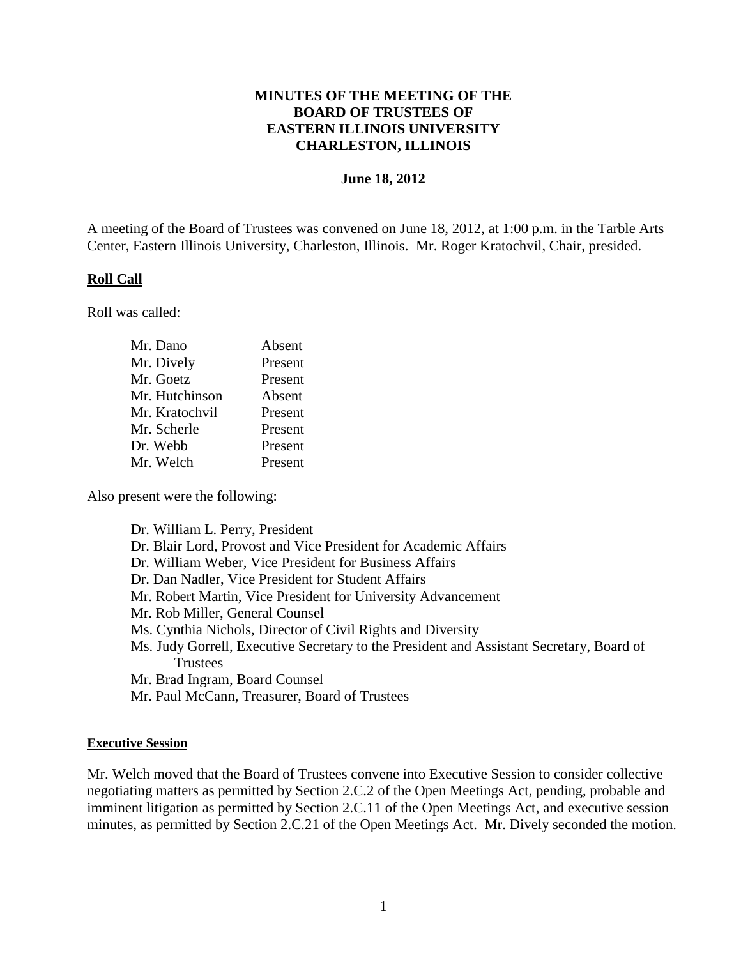### **MINUTES OF THE MEETING OF THE BOARD OF TRUSTEES OF EASTERN ILLINOIS UNIVERSITY CHARLESTON, ILLINOIS**

#### **June 18, 2012**

A meeting of the Board of Trustees was convened on June 18, 2012, at 1:00 p.m. in the Tarble Arts Center, Eastern Illinois University, Charleston, Illinois. Mr. Roger Kratochvil, Chair, presided.

#### **Roll Call**

Roll was called:

| Mr. Dano       | Absent  |
|----------------|---------|
| Mr. Dively     | Present |
| Mr. Goetz      | Present |
| Mr. Hutchinson | Absent  |
| Mr. Kratochvil | Present |
| Mr. Scherle    | Present |
| Dr. Webb       | Present |
| Mr. Welch      | Present |

Also present were the following:

Dr. William L. Perry, President Dr. Blair Lord, Provost and Vice President for Academic Affairs Dr. William Weber, Vice President for Business Affairs Dr. Dan Nadler, Vice President for Student Affairs Mr. Robert Martin, Vice President for University Advancement Mr. Rob Miller, General Counsel Ms. Cynthia Nichols, Director of Civil Rights and Diversity Ms. Judy Gorrell, Executive Secretary to the President and Assistant Secretary, Board of **Trustees** Mr. Brad Ingram, Board Counsel Mr. Paul McCann, Treasurer, Board of Trustees

#### **Executive Session**

Mr. Welch moved that the Board of Trustees convene into Executive Session to consider collective negotiating matters as permitted by Section 2.C.2 of the Open Meetings Act, pending, probable and imminent litigation as permitted by Section 2.C.11 of the Open Meetings Act, and executive session minutes, as permitted by Section 2.C.21 of the Open Meetings Act. Mr. Dively seconded the motion.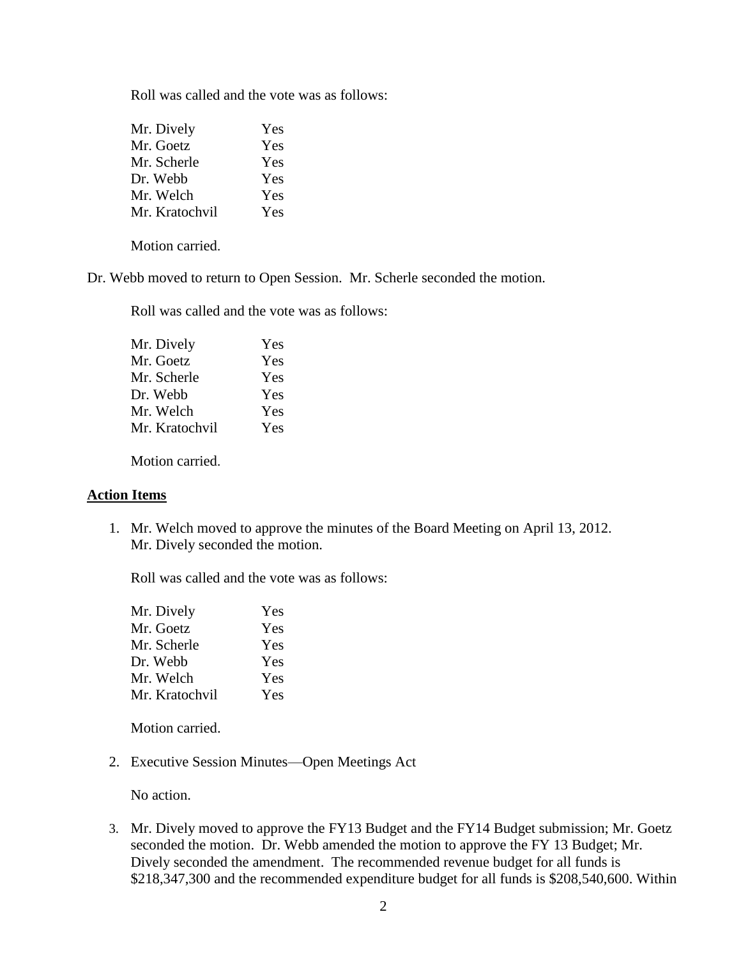Roll was called and the vote was as follows:

| Mr. Dively     | Yes |
|----------------|-----|
| Mr. Goetz      | Yes |
| Mr. Scherle    | Yes |
| Dr. Webb       | Yes |
| Mr. Welch      | Yes |
| Mr. Kratochvil | Yes |

Motion carried.

Dr. Webb moved to return to Open Session. Mr. Scherle seconded the motion.

Roll was called and the vote was as follows:

| Mr. Dively     | Yes |
|----------------|-----|
| Mr. Goetz      | Yes |
| Mr. Scherle    | Yes |
| Dr. Webb       | Yes |
| Mr. Welch      | Yes |
| Mr. Kratochvil | Yes |

Motion carried.

### **Action Items**

1. Mr. Welch moved to approve the minutes of the Board Meeting on April 13, 2012. Mr. Dively seconded the motion.

Roll was called and the vote was as follows:

| Mr. Dively     | Yes |
|----------------|-----|
| Mr. Goetz      | Yes |
| Mr. Scherle    | Yes |
| Dr. Webb       | Yes |
| Mr. Welch      | Yes |
| Mr. Kratochvil | Yes |

Motion carried.

2. Executive Session Minutes—Open Meetings Act

No action.

3. Mr. Dively moved to approve the FY13 Budget and the FY14 Budget submission; Mr. Goetz seconded the motion. Dr. Webb amended the motion to approve the FY 13 Budget; Mr. Dively seconded the amendment. The recommended revenue budget for all funds is \$218,347,300 and the recommended expenditure budget for all funds is \$208,540,600. Within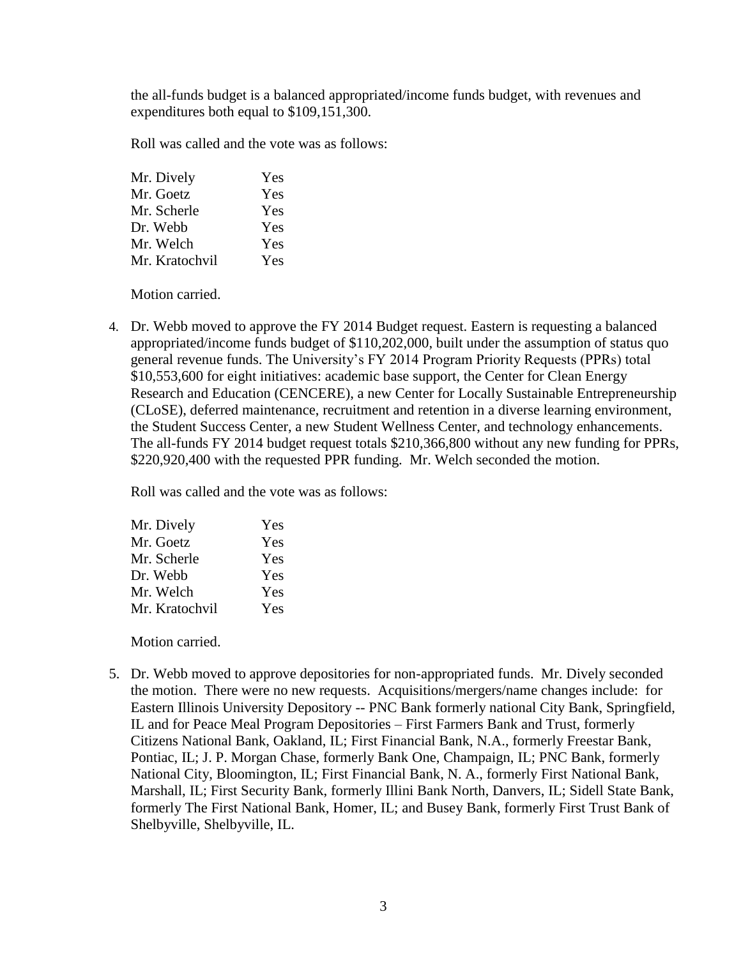the all-funds budget is a balanced appropriated/income funds budget, with revenues and expenditures both equal to \$109,151,300.

Roll was called and the vote was as follows:

| Mr. Dively     | Yes |
|----------------|-----|
| Mr. Goetz      | Yes |
| Mr. Scherle    | Yes |
| Dr. Webb       | Yes |
| Mr. Welch      | Yes |
| Mr. Kratochvil | Yes |

Motion carried.

4. Dr. Webb moved to approve the FY 2014 Budget request. Eastern is requesting a balanced appropriated/income funds budget of \$110,202,000, built under the assumption of status quo general revenue funds. The University's FY 2014 Program Priority Requests (PPRs) total \$10,553,600 for eight initiatives: academic base support, the Center for Clean Energy Research and Education (CENCERE), a new Center for Locally Sustainable Entrepreneurship (CLoSE), deferred maintenance, recruitment and retention in a diverse learning environment, the Student Success Center, a new Student Wellness Center, and technology enhancements. The all-funds FY 2014 budget request totals \$210,366,800 without any new funding for PPRs, \$220,920,400 with the requested PPR funding. Mr. Welch seconded the motion.

Roll was called and the vote was as follows:

| Yes |
|-----|
| Yes |
| Yes |
| Yes |
| Yes |
| Yes |
|     |

Motion carried.

5. Dr. Webb moved to approve depositories for non-appropriated funds. Mr. Dively seconded the motion. There were no new requests. Acquisitions/mergers/name changes include: for Eastern Illinois University Depository -- PNC Bank formerly national City Bank, Springfield, IL and for Peace Meal Program Depositories – First Farmers Bank and Trust, formerly Citizens National Bank, Oakland, IL; First Financial Bank, N.A., formerly Freestar Bank, Pontiac, IL; J. P. Morgan Chase, formerly Bank One, Champaign, IL; PNC Bank, formerly National City, Bloomington, IL; First Financial Bank, N. A., formerly First National Bank, Marshall, IL; First Security Bank, formerly Illini Bank North, Danvers, IL; Sidell State Bank, formerly The First National Bank, Homer, IL; and Busey Bank, formerly First Trust Bank of Shelbyville, Shelbyville, IL.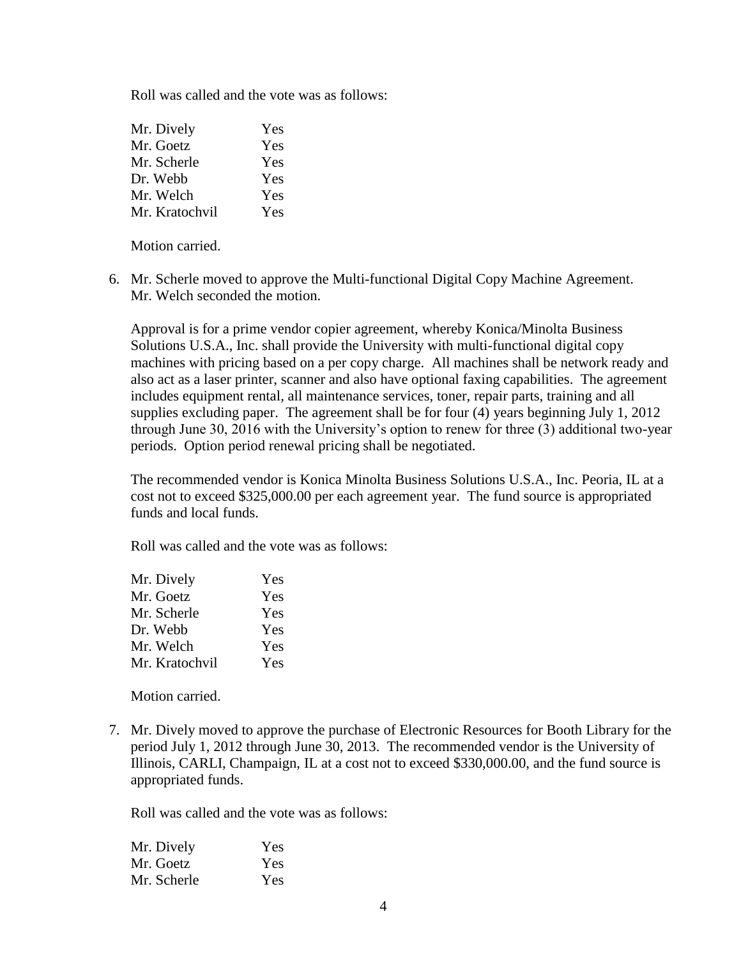Roll was called and the vote was as follows:

| Mr. Dively     | Yes |
|----------------|-----|
| Mr. Goetz      | Yes |
| Mr. Scherle    | Yes |
| Dr. Webb       | Yes |
| Mr. Welch      | Yes |
| Mr. Kratochvil | Yes |

Motion carried.

6. Mr. Scherle moved to approve the Multi-functional Digital Copy Machine Agreement. Mr. Welch seconded the motion.

Approval is for a prime vendor copier agreement, whereby Konica/Minolta Business Solutions U.S.A., Inc. shall provide the University with multi-functional digital copy machines with pricing based on a per copy charge. All machines shall be network ready and also act as a laser printer, scanner and also have optional faxing capabilities. The agreement includes equipment rental, all maintenance services, toner, repair parts, training and all supplies excluding paper. The agreement shall be for four (4) years beginning July 1, 2012 through June 30, 2016 with the University's option to renew for three (3) additional two-year periods. Option period renewal pricing shall be negotiated.

The recommended vendor is Konica Minolta Business Solutions U.S.A., Inc. Peoria, IL at a cost not to exceed \$325,000.00 per each agreement year. The fund source is appropriated funds and local funds.

Roll was called and the vote was as follows:

| Mr. Dively     | Yes |
|----------------|-----|
| Mr. Goetz      | Yes |
| Mr. Scherle    | Yes |
| Dr. Webb       | Yes |
| Mr. Welch      | Yes |
| Mr. Kratochvil | Yes |

Motion carried.

7. Mr. Dively moved to approve the purchase of Electronic Resources for Booth Library for the period July 1, 2012 through June 30, 2013. The recommended vendor is the University of Illinois, CARLI, Champaign, IL at a cost not to exceed \$330,000.00, and the fund source is appropriated funds.

Roll was called and the vote was as follows:

| Mr. Dively  | Yes |
|-------------|-----|
| Mr. Goetz   | Yes |
| Mr. Scherle | Yes |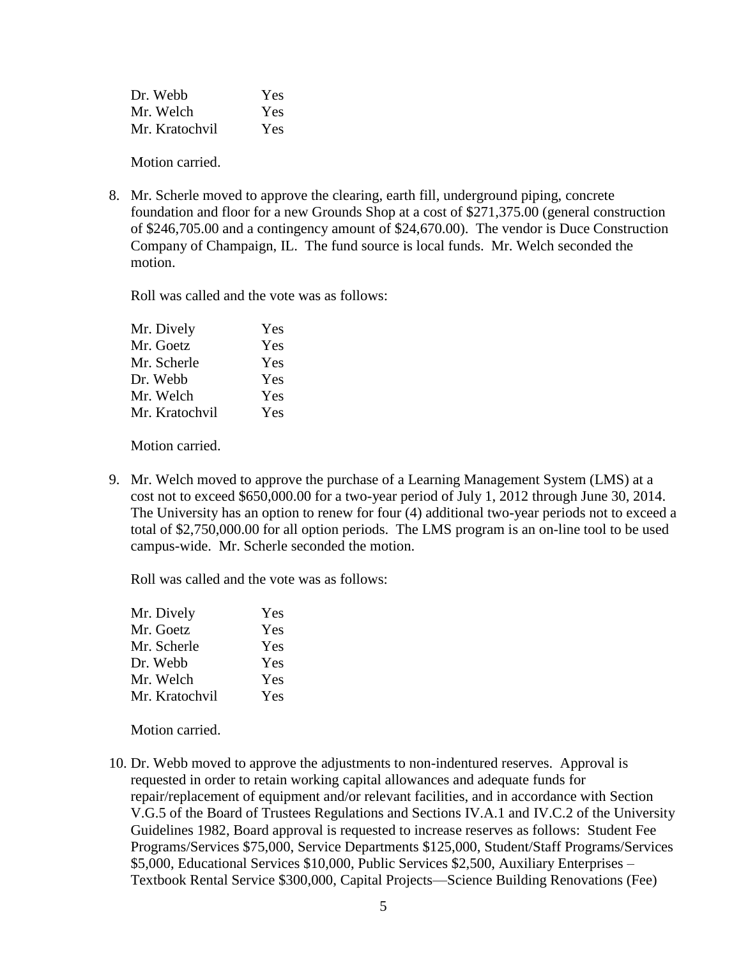| Dr. Webb       | Yes |
|----------------|-----|
| Mr. Welch      | Yes |
| Mr. Kratochvil | Yes |

Motion carried.

8. Mr. Scherle moved to approve the clearing, earth fill, underground piping, concrete foundation and floor for a new Grounds Shop at a cost of \$271,375.00 (general construction of \$246,705.00 and a contingency amount of \$24,670.00). The vendor is Duce Construction Company of Champaign, IL. The fund source is local funds. Mr. Welch seconded the motion.

Roll was called and the vote was as follows:

| Yes |
|-----|
| Yes |
| Yes |
| Yes |
| Yes |
| Yes |
|     |

Motion carried.

9. Mr. Welch moved to approve the purchase of a Learning Management System (LMS) at a cost not to exceed \$650,000.00 for a two-year period of July 1, 2012 through June 30, 2014. The University has an option to renew for four (4) additional two-year periods not to exceed a total of \$2,750,000.00 for all option periods. The LMS program is an on-line tool to be used campus-wide. Mr. Scherle seconded the motion.

Roll was called and the vote was as follows:

| Mr. Dively     | Yes |
|----------------|-----|
| Mr. Goetz      | Yes |
| Mr. Scherle    | Yes |
| Dr. Webb       | Yes |
| Mr. Welch      | Yes |
| Mr. Kratochvil | Yes |

Motion carried.

10. Dr. Webb moved to approve the adjustments to non-indentured reserves. Approval is requested in order to retain working capital allowances and adequate funds for repair/replacement of equipment and/or relevant facilities, and in accordance with Section V.G.5 of the Board of Trustees Regulations and Sections IV.A.1 and IV.C.2 of the University Guidelines 1982, Board approval is requested to increase reserves as follows: Student Fee Programs/Services \$75,000, Service Departments \$125,000, Student/Staff Programs/Services \$5,000, Educational Services \$10,000, Public Services \$2,500, Auxiliary Enterprises – Textbook Rental Service \$300,000, Capital Projects—Science Building Renovations (Fee)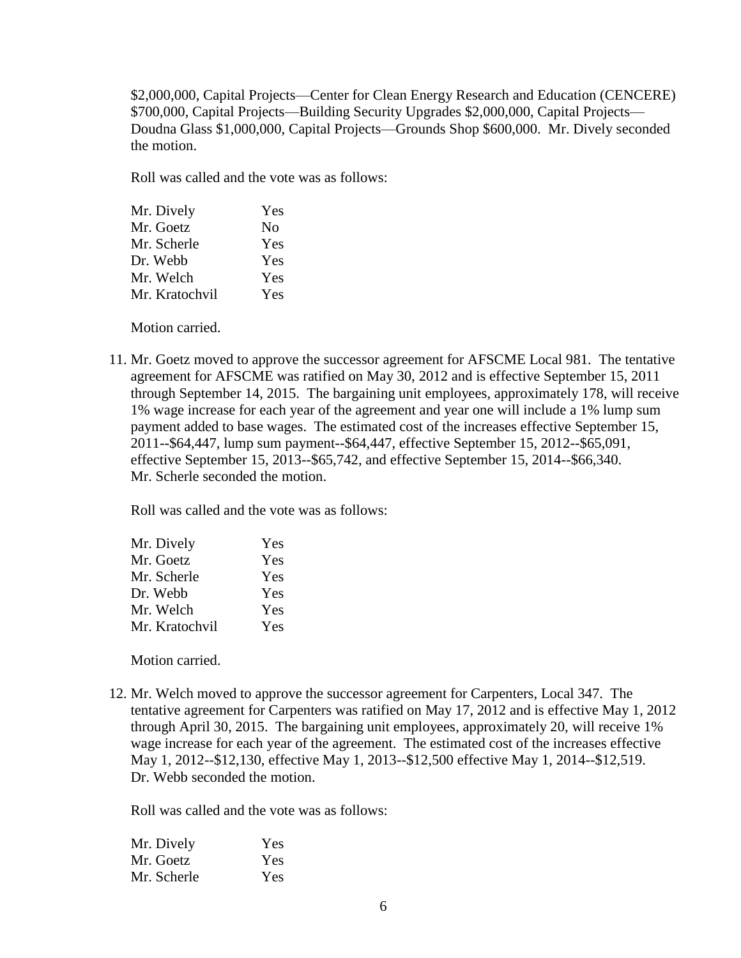\$2,000,000, Capital Projects—Center for Clean Energy Research and Education (CENCERE) \$700,000, Capital Projects—Building Security Upgrades \$2,000,000, Capital Projects— Doudna Glass \$1,000,000, Capital Projects—Grounds Shop \$600,000. Mr. Dively seconded the motion.

Roll was called and the vote was as follows:

| Mr. Dively     | Yes |
|----------------|-----|
| Mr. Goetz      | No  |
| Mr. Scherle    | Yes |
| Dr. Webb       | Yes |
| Mr. Welch      | Yes |
| Mr. Kratochvil | Yes |
|                |     |

Motion carried.

11. Mr. Goetz moved to approve the successor agreement for AFSCME Local 981. The tentative agreement for AFSCME was ratified on May 30, 2012 and is effective September 15, 2011 through September 14, 2015. The bargaining unit employees, approximately 178, will receive 1% wage increase for each year of the agreement and year one will include a 1% lump sum payment added to base wages. The estimated cost of the increases effective September 15, 2011--\$64,447, lump sum payment--\$64,447, effective September 15, 2012--\$65,091, effective September 15, 2013--\$65,742, and effective September 15, 2014--\$66,340. Mr. Scherle seconded the motion.

Roll was called and the vote was as follows:

| Mr. Dively     | Yes |
|----------------|-----|
| Mr. Goetz      | Yes |
| Mr. Scherle    | Yes |
| Dr. Webb       | Yes |
| Mr. Welch      | Yes |
| Mr. Kratochvil | Yes |
|                |     |

Motion carried.

12. Mr. Welch moved to approve the successor agreement for Carpenters, Local 347. The tentative agreement for Carpenters was ratified on May 17, 2012 and is effective May 1, 2012 through April 30, 2015. The bargaining unit employees, approximately 20, will receive 1% wage increase for each year of the agreement. The estimated cost of the increases effective May 1, 2012--\$12,130, effective May 1, 2013--\$12,500 effective May 1, 2014--\$12,519. Dr. Webb seconded the motion.

Roll was called and the vote was as follows:

| Mr. Dively  | Yes |
|-------------|-----|
| Mr. Goetz   | Yes |
| Mr. Scherle | Yes |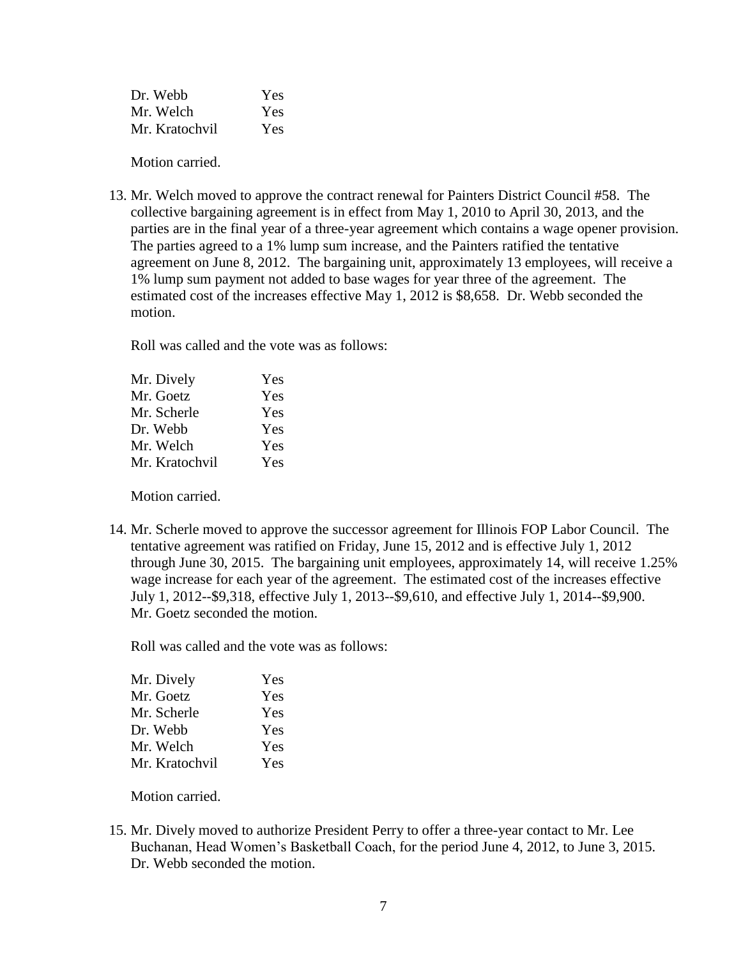| Dr. Webb       | Yes |
|----------------|-----|
| Mr. Welch      | Yes |
| Mr. Kratochvil | Yes |

Motion carried.

13. Mr. Welch moved to approve the contract renewal for Painters District Council #58. The collective bargaining agreement is in effect from May 1, 2010 to April 30, 2013, and the parties are in the final year of a three-year agreement which contains a wage opener provision. The parties agreed to a 1% lump sum increase, and the Painters ratified the tentative agreement on June 8, 2012. The bargaining unit, approximately 13 employees, will receive a 1% lump sum payment not added to base wages for year three of the agreement. The estimated cost of the increases effective May 1, 2012 is \$8,658. Dr. Webb seconded the motion.

Roll was called and the vote was as follows:

| Mr. Dively     | Yes |
|----------------|-----|
| Mr. Goetz      | Yes |
| Mr. Scherle    | Yes |
| Dr. Webb       | Yes |
| Mr. Welch      | Yes |
| Mr. Kratochvil | Yes |
|                |     |

Motion carried.

14. Mr. Scherle moved to approve the successor agreement for Illinois FOP Labor Council. The tentative agreement was ratified on Friday, June 15, 2012 and is effective July 1, 2012 through June 30, 2015. The bargaining unit employees, approximately 14, will receive 1.25% wage increase for each year of the agreement. The estimated cost of the increases effective July 1, 2012--\$9,318, effective July 1, 2013--\$9,610, and effective July 1, 2014--\$9,900. Mr. Goetz seconded the motion.

Roll was called and the vote was as follows:

| Mr. Dively     | Yes |
|----------------|-----|
| Mr. Goetz      | Yes |
| Mr. Scherle    | Yes |
| Dr. Webb       | Yes |
| Mr. Welch      | Yes |
| Mr. Kratochvil | Yes |

Motion carried.

15. Mr. Dively moved to authorize President Perry to offer a three-year contact to Mr. Lee Buchanan, Head Women's Basketball Coach, for the period June 4, 2012, to June 3, 2015. Dr. Webb seconded the motion.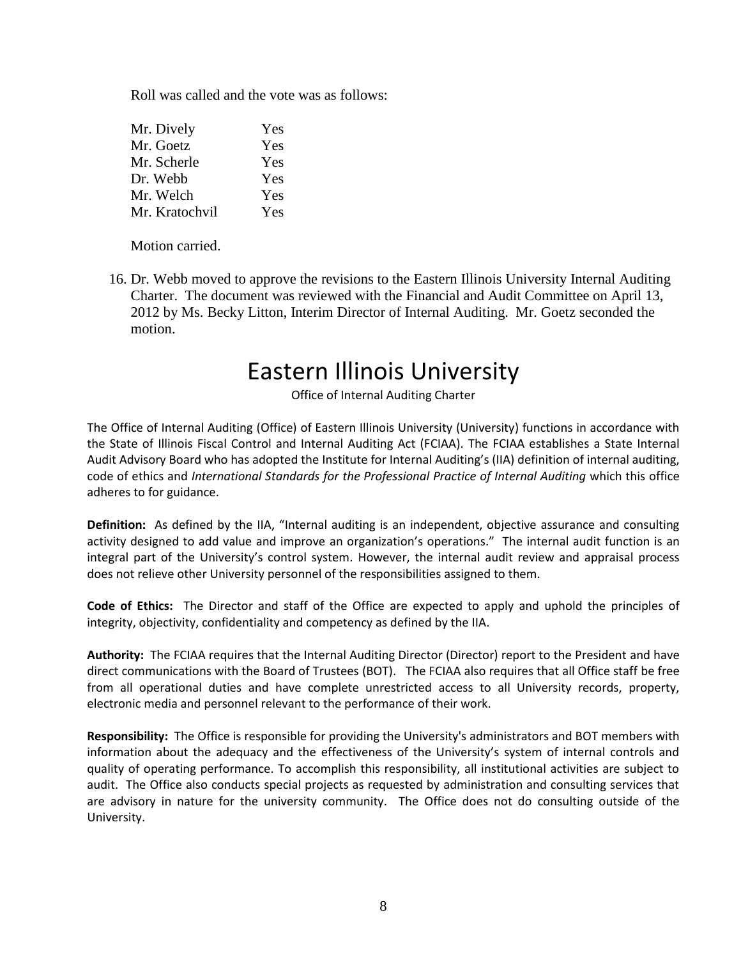Roll was called and the vote was as follows:

| Mr. Dively     | Yes |
|----------------|-----|
| Mr. Goetz      | Yes |
| Mr. Scherle    | Yes |
| Dr. Webb       | Yes |
| Mr. Welch      | Yes |
| Mr. Kratochvil | Yes |

Motion carried.

16. Dr. Webb moved to approve the revisions to the Eastern Illinois University Internal Auditing Charter. The document was reviewed with the Financial and Audit Committee on April 13, 2012 by Ms. Becky Litton, Interim Director of Internal Auditing. Mr. Goetz seconded the motion.

# Eastern Illinois University

Office of Internal Auditing Charter

The Office of Internal Auditing (Office) of Eastern Illinois University (University) functions in accordance with the State of Illinois Fiscal Control and Internal Auditing Act (FCIAA). The FCIAA establishes a State Internal Audit Advisory Board who has adopted the Institute for Internal Auditing's (IIA) definition of internal auditing, code of ethics and *International Standards for the Professional Practice of Internal Auditing* which this office adheres to for guidance.

**Definition:** As defined by the IIA, "Internal auditing is an independent, objective assurance and consulting activity designed to add value and improve an organization's operations." The internal audit function is an integral part of the University's control system. However, the internal audit review and appraisal process does not relieve other University personnel of the responsibilities assigned to them.

**Code of Ethics:** The Director and staff of the Office are expected to apply and uphold the principles of integrity, objectivity, confidentiality and competency as defined by the IIA.

**Authority:** The FCIAA requires that the Internal Auditing Director (Director) report to the President and have direct communications with the Board of Trustees (BOT). The FCIAA also requires that all Office staff be free from all operational duties and have complete unrestricted access to all University records, property, electronic media and personnel relevant to the performance of their work.

**Responsibility:** The Office is responsible for providing the University's administrators and BOT members with information about the adequacy and the effectiveness of the University's system of internal controls and quality of operating performance. To accomplish this responsibility, all institutional activities are subject to audit. The Office also conducts special projects as requested by administration and consulting services that are advisory in nature for the university community. The Office does not do consulting outside of the University.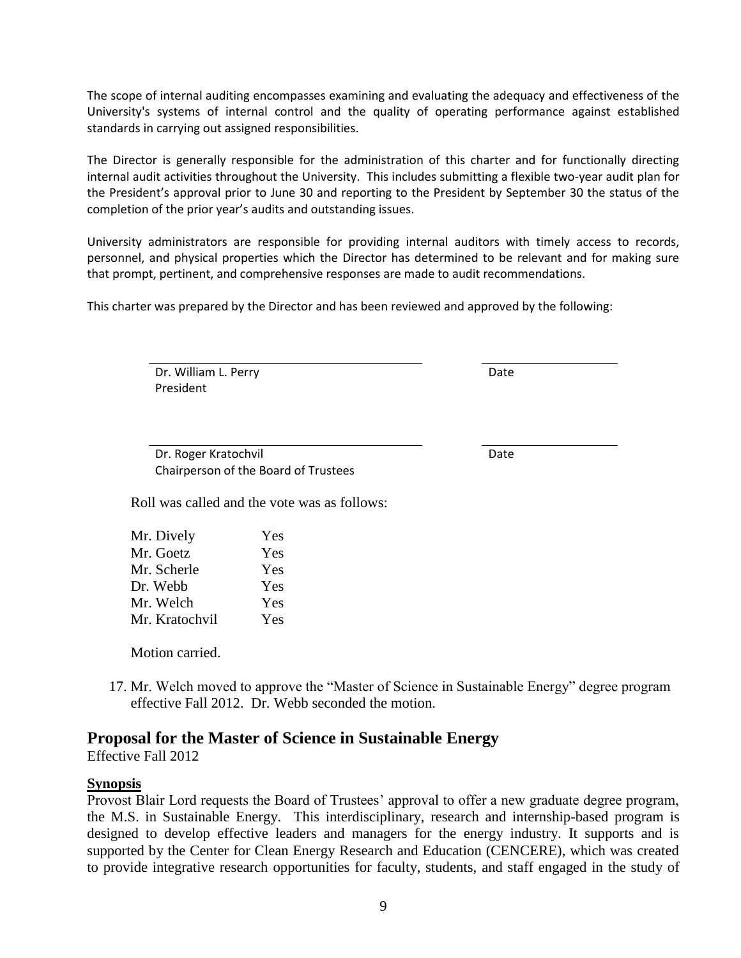The scope of internal auditing encompasses examining and evaluating the adequacy and effectiveness of the University's systems of internal control and the quality of operating performance against established standards in carrying out assigned responsibilities.

The Director is generally responsible for the administration of this charter and for functionally directing internal audit activities throughout the University. This includes submitting a flexible two-year audit plan for the President's approval prior to June 30 and reporting to the President by September 30 the status of the completion of the prior year's audits and outstanding issues.

University administrators are responsible for providing internal auditors with timely access to records, personnel, and physical properties which the Director has determined to be relevant and for making sure that prompt, pertinent, and comprehensive responses are made to audit recommendations.

This charter was prepared by the Director and has been reviewed and approved by the following:

Dr. William L. Perry President

Date

Date

Dr. Roger Kratochvil Chairperson of the Board of Trustees

Roll was called and the vote was as follows:

| Mr. Dively     | Yes |
|----------------|-----|
| Mr. Goetz      | Yes |
| Mr. Scherle    | Yes |
| Dr. Webb       | Yes |
| Mr. Welch      | Yes |
| Mr. Kratochvil | Yes |

Motion carried.

17. Mr. Welch moved to approve the "Master of Science in Sustainable Energy" degree program effective Fall 2012. Dr. Webb seconded the motion.

# **Proposal for the Master of Science in Sustainable Energy**

Effective Fall 2012

### **Synopsis**

Provost Blair Lord requests the Board of Trustees' approval to offer a new graduate degree program, the M.S. in Sustainable Energy. This interdisciplinary, research and internship-based program is designed to develop effective leaders and managers for the energy industry. It supports and is supported by the Center for Clean Energy Research and Education (CENCERE), which was created to provide integrative research opportunities for faculty, students, and staff engaged in the study of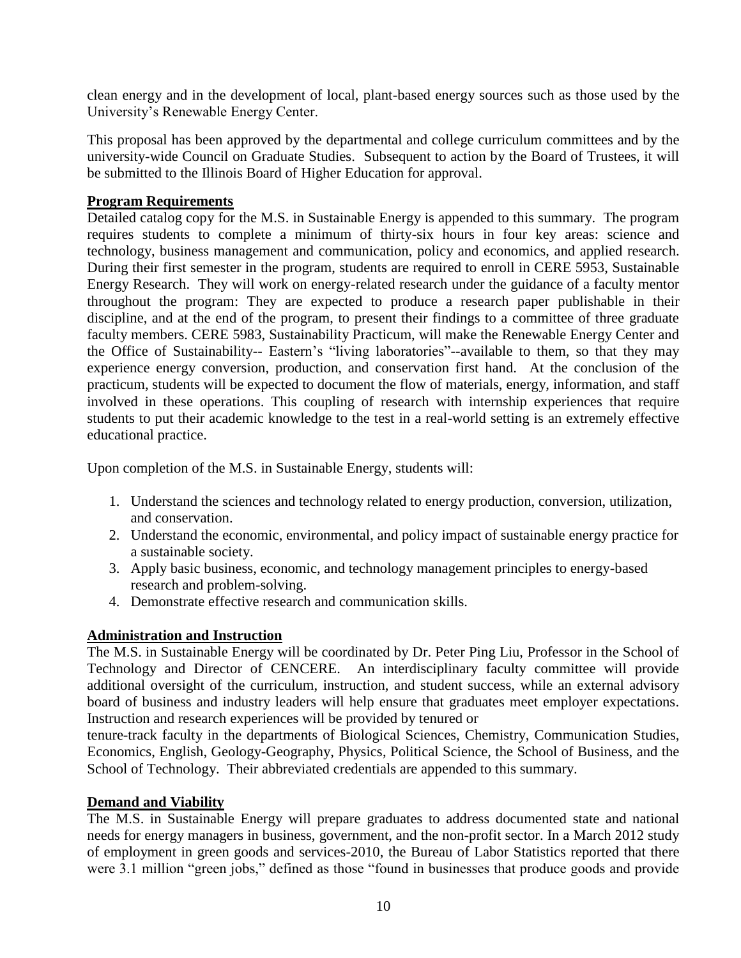clean energy and in the development of local, plant-based energy sources such as those used by the University's Renewable Energy Center.

This proposal has been approved by the departmental and college curriculum committees and by the university-wide Council on Graduate Studies. Subsequent to action by the Board of Trustees, it will be submitted to the Illinois Board of Higher Education for approval.

### **Program Requirements**

Detailed catalog copy for the M.S. in Sustainable Energy is appended to this summary. The program requires students to complete a minimum of thirty-six hours in four key areas: science and technology, business management and communication, policy and economics, and applied research. During their first semester in the program, students are required to enroll in CERE 5953, Sustainable Energy Research. They will work on energy-related research under the guidance of a faculty mentor throughout the program: They are expected to produce a research paper publishable in their discipline, and at the end of the program, to present their findings to a committee of three graduate faculty members. CERE 5983, Sustainability Practicum, will make the Renewable Energy Center and the Office of Sustainability-- Eastern's "living laboratories"--available to them, so that they may experience energy conversion, production, and conservation first hand. At the conclusion of the practicum, students will be expected to document the flow of materials, energy, information, and staff involved in these operations. This coupling of research with internship experiences that require students to put their academic knowledge to the test in a real-world setting is an extremely effective educational practice.

Upon completion of the M.S. in Sustainable Energy, students will:

- 1. Understand the sciences and technology related to energy production, conversion, utilization, and conservation.
- 2. Understand the economic, environmental, and policy impact of sustainable energy practice for a sustainable society.
- 3. Apply basic business, economic, and technology management principles to energy-based research and problem-solving.
- 4. Demonstrate effective research and communication skills.

# **Administration and Instruction**

The M.S. in Sustainable Energy will be coordinated by Dr. Peter Ping Liu, Professor in the School of Technology and Director of CENCERE. An interdisciplinary faculty committee will provide additional oversight of the curriculum, instruction, and student success, while an external advisory board of business and industry leaders will help ensure that graduates meet employer expectations. Instruction and research experiences will be provided by tenured or

tenure-track faculty in the departments of Biological Sciences, Chemistry, Communication Studies, Economics, English, Geology-Geography, Physics, Political Science, the School of Business, and the School of Technology. Their abbreviated credentials are appended to this summary.

### **Demand and Viability**

The M.S. in Sustainable Energy will prepare graduates to address documented state and national needs for energy managers in business, government, and the non-profit sector. In a March 2012 study of employment in green goods and services-2010, the Bureau of Labor Statistics reported that there were 3.1 million "green jobs," defined as those "found in businesses that produce goods and provide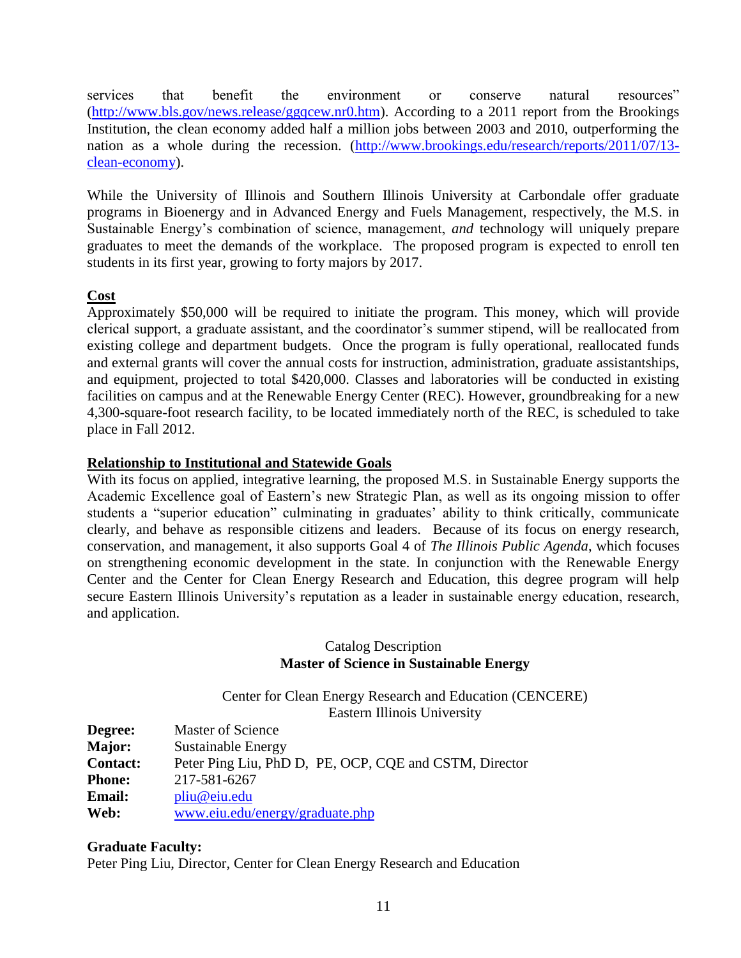services that benefit the environment or conserve natural resources" [\(http://www.bls.gov/news.release/ggqcew.nr0.htm\)](http://www.bls.gov/news.release/ggqcew.nr0.htm). According to a 2011 report from the Brookings Institution, the clean economy added half a million jobs between 2003 and 2010, outperforming the nation as a whole during the recession. [\(http://www.brookings.edu/research/reports/2011/07/13](http://www.brookings.edu/research/reports/2011/07/13-clean-economy) [clean-economy\)](http://www.brookings.edu/research/reports/2011/07/13-clean-economy).

While the University of Illinois and Southern Illinois University at Carbondale offer graduate programs in Bioenergy and in Advanced Energy and Fuels Management, respectively, the M.S. in Sustainable Energy's combination of science, management, *and* technology will uniquely prepare graduates to meet the demands of the workplace. The proposed program is expected to enroll ten students in its first year, growing to forty majors by 2017.

# **Cost**

Approximately \$50,000 will be required to initiate the program. This money, which will provide clerical support, a graduate assistant, and the coordinator's summer stipend, will be reallocated from existing college and department budgets. Once the program is fully operational, reallocated funds and external grants will cover the annual costs for instruction, administration, graduate assistantships, and equipment, projected to total \$420,000. Classes and laboratories will be conducted in existing facilities on campus and at the Renewable Energy Center (REC). However, groundbreaking for a new 4,300-square-foot research facility, to be located immediately north of the REC, is scheduled to take place in Fall 2012.

### **Relationship to Institutional and Statewide Goals**

With its focus on applied, integrative learning, the proposed M.S. in Sustainable Energy supports the Academic Excellence goal of Eastern's new Strategic Plan, as well as its ongoing mission to offer students a "superior education" culminating in graduates' ability to think critically, communicate clearly, and behave as responsible citizens and leaders. Because of its focus on energy research, conservation, and management, it also supports Goal 4 of *The Illinois Public Agenda*, which focuses on strengthening economic development in the state. In conjunction with the Renewable Energy Center and the Center for Clean Energy Research and Education, this degree program will help secure Eastern Illinois University's reputation as a leader in sustainable energy education, research, and application.

### Catalog Description **Master of Science in Sustainable Energy**

Center for Clean Energy Research and Education (CENCERE) Eastern Illinois University

| Degree:         | <b>Master of Science</b>                               |
|-----------------|--------------------------------------------------------|
| <b>Major:</b>   | <b>Sustainable Energy</b>                              |
| <b>Contact:</b> | Peter Ping Liu, PhD D, PE, OCP, CQE and CSTM, Director |
| <b>Phone:</b>   | 217-581-6267                                           |
| <b>Email:</b>   | pliu@eiu.edu                                           |
| Web:            | www.eiu.edu/energy/graduate.php                        |

### **Graduate Faculty:**

Peter Ping Liu, Director, Center for Clean Energy Research and Education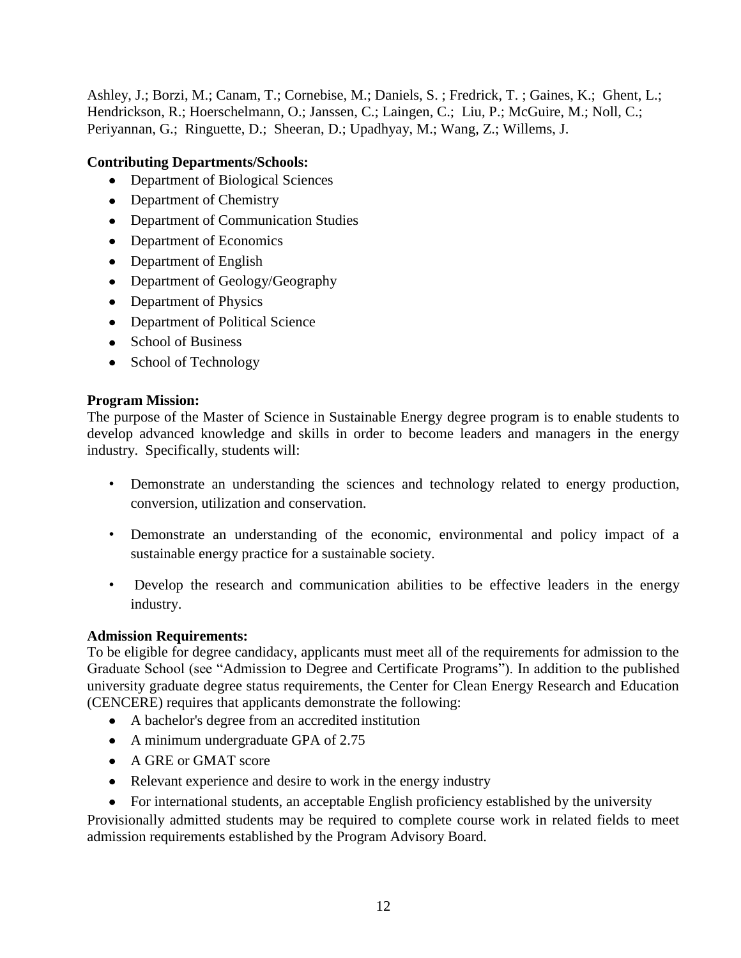Ashley, J.; Borzi, M.; Canam, T.; Cornebise, M.; Daniels, S. ; Fredrick, T. ; Gaines, K.; Ghent, L.; Hendrickson, R.; Hoerschelmann, O.; Janssen, C.; Laingen, C.; Liu, P.; McGuire, M.; Noll, C.; Periyannan, G.; Ringuette, D.; Sheeran, D.; Upadhyay, M.; Wang, Z.; Willems, J.

# **Contributing Departments/Schools:**

- Department of Biological Sciences
- Department of Chemistry
- Department of Communication Studies
- Department of Economics
- Department of English
- Department of Geology/Geography
- Department of Physics
- Department of Political Science
- School of Business
- School of Technology

### **Program Mission:**

The purpose of the Master of Science in Sustainable Energy degree program is to enable students to develop advanced knowledge and skills in order to become leaders and managers in the energy industry. Specifically, students will:

- Demonstrate an understanding the sciences and technology related to energy production, conversion, utilization and conservation.
- Demonstrate an understanding of the economic, environmental and policy impact of a sustainable energy practice for a sustainable society.
- Develop the research and communication abilities to be effective leaders in the energy industry.

# **Admission Requirements:**

To be eligible for degree candidacy, applicants must meet all of the requirements for admission to the Graduate School (see "Admission to Degree and Certificate Programs"). In addition to the published university graduate degree status requirements, the Center for Clean Energy Research and Education (CENCERE) requires that applicants demonstrate the following:

- A bachelor's degree from an accredited institution
- A minimum undergraduate GPA of 2.75
- A GRE or GMAT score
- Relevant experience and desire to work in the energy industry
- For international students, an acceptable English proficiency established by the university

Provisionally admitted students may be required to complete course work in related fields to meet admission requirements established by the Program Advisory Board.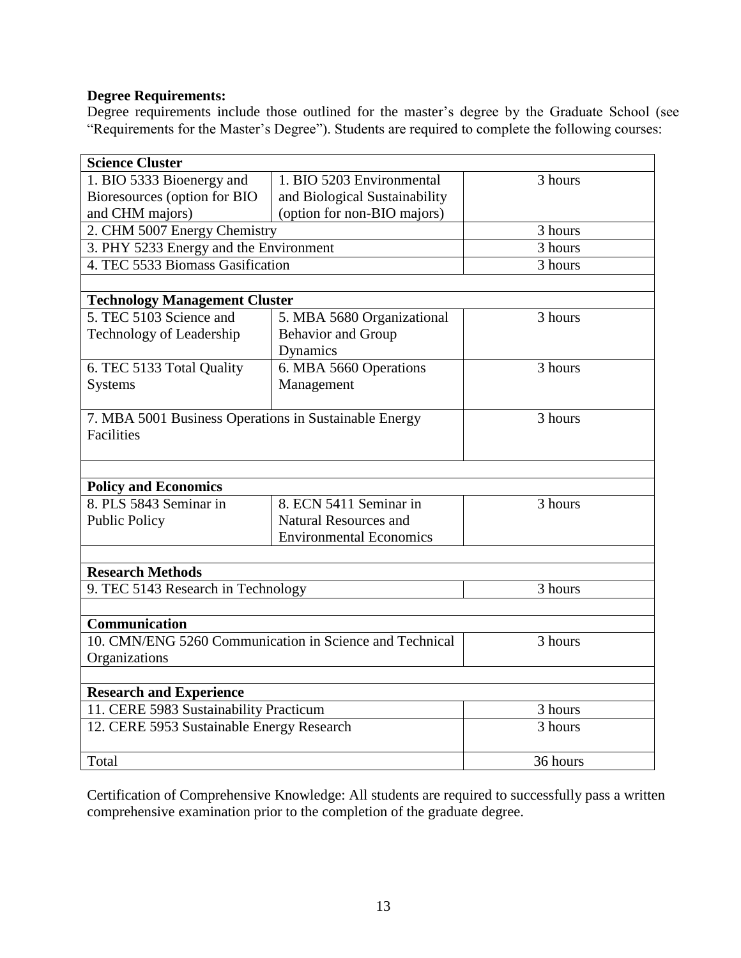# **Degree Requirements:**

Degree requirements include those outlined for the master's degree by the Graduate School (see "Requirements for the Master's Degree"). Students are required to complete the following courses:

| <b>Science Cluster</b>                                  |                                |                      |
|---------------------------------------------------------|--------------------------------|----------------------|
| 1. BIO 5333 Bioenergy and                               | 1. BIO 5203 Environmental      | 3 hours              |
| Bioresources (option for BIO                            | and Biological Sustainability  |                      |
| and CHM majors)                                         | (option for non-BIO majors)    |                      |
| 2. CHM 5007 Energy Chemistry                            |                                | 3 hours              |
| 3. PHY 5233 Energy and the Environment                  |                                | $\overline{3}$ hours |
| 4. TEC 5533 Biomass Gasification                        |                                | 3 hours              |
|                                                         |                                |                      |
| <b>Technology Management Cluster</b>                    |                                |                      |
| 5. TEC 5103 Science and                                 | 5. MBA 5680 Organizational     | 3 hours              |
| Technology of Leadership                                | <b>Behavior</b> and Group      |                      |
|                                                         | Dynamics                       |                      |
| 6. TEC 5133 Total Quality                               | 6. MBA 5660 Operations         | 3 hours              |
| <b>Systems</b>                                          | Management                     |                      |
|                                                         |                                |                      |
| 7. MBA 5001 Business Operations in Sustainable Energy   |                                | 3 hours              |
| <b>Facilities</b>                                       |                                |                      |
|                                                         |                                |                      |
|                                                         |                                |                      |
| <b>Policy and Economics</b>                             |                                |                      |
| 8. PLS 5843 Seminar in                                  | 8. ECN 5411 Seminar in         | 3 hours              |
| <b>Public Policy</b>                                    | <b>Natural Resources and</b>   |                      |
|                                                         | <b>Environmental Economics</b> |                      |
|                                                         |                                |                      |
| <b>Research Methods</b>                                 |                                |                      |
| 9. TEC 5143 Research in Technology                      |                                | 3 hours              |
|                                                         |                                |                      |
| Communication                                           |                                |                      |
| 10. CMN/ENG 5260 Communication in Science and Technical |                                | 3 hours              |
| Organizations                                           |                                |                      |
|                                                         |                                |                      |
| <b>Research and Experience</b>                          |                                |                      |
| 11. CERE 5983 Sustainability Practicum                  |                                | 3 hours              |
| 12. CERE 5953 Sustainable Energy Research               |                                | 3 hours              |
|                                                         |                                |                      |
| Total                                                   |                                | 36 hours             |

Certification of Comprehensive Knowledge: All students are required to successfully pass a written comprehensive examination prior to the completion of the graduate degree.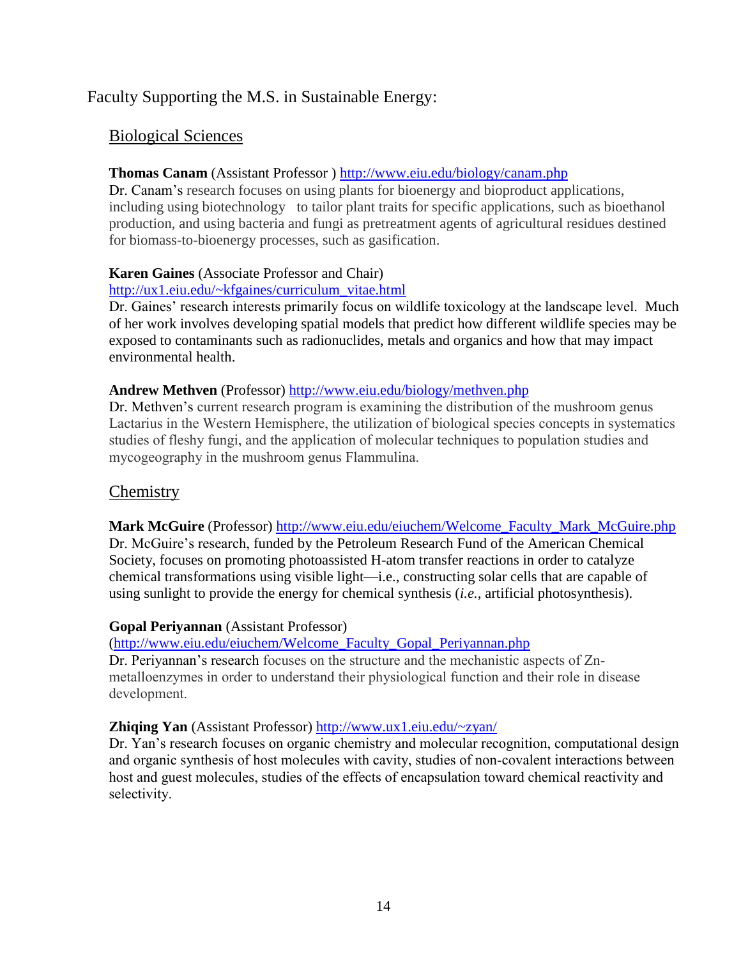# Faculty Supporting the M.S. in Sustainable Energy:

# Biological Sciences

# **Thomas Canam** (Assistant Professor )<http://www.eiu.edu/biology/canam.php>

Dr. Canam's research focuses on using plants for bioenergy and bioproduct applications, including using biotechnology to tailor plant traits for specific applications, such as bioethanol production, and using bacteria and fungi as pretreatment agents of agricultural residues destined for biomass-to-bioenergy processes, such as gasification.

# **Karen Gaines** (Associate Professor and Chair)

# [http://ux1.eiu.edu/~kfgaines/curriculum\\_vitae.html](http://ux1.eiu.edu/~kfgaines/curriculum_vitae.html)

Dr. Gaines' research interests primarily focus on wildlife toxicology at the landscape level. Much of her work involves developing spatial models that predict how different wildlife species may be exposed to contaminants such as radionuclides, metals and organics and how that may impact environmental health.

# **Andrew Methven** (Professor) <http://www.eiu.edu/biology/methven.php>

Dr. Methven's current research program is examining the distribution of the mushroom genus Lactarius in the Western Hemisphere, the utilization of biological species concepts in systematics studies of fleshy fungi, and the application of molecular techniques to population studies and mycogeography in the mushroom genus Flammulina.

# **Chemistry**

**Mark McGuire** (Professor) [http://www.eiu.edu/eiuchem/Welcome\\_Faculty\\_Mark\\_McGuire.php](http://www.eiu.edu/eiuchem/Welcome_Faculty_Mark_McGuire.php) Dr. McGuire's research, funded by the Petroleum Research Fund of the American Chemical Society, focuses on promoting photoassisted H-atom transfer reactions in order to catalyze chemical transformations using visible light—i.e., constructing solar cells that are capable of using sunlight to provide the energy for chemical synthesis (*i.e.*, artificial photosynthesis).

# **Gopal Periyannan** (Assistant Professor)

[\(http://www.eiu.edu/eiuchem/Welcome\\_Faculty\\_Gopal\\_Periyannan.php](http://www.eiu.edu/eiuchem/Welcome_Faculty_Gopal_Periyannan.php)

Dr. Periyannan's research focuses on the structure and the mechanistic aspects of Znmetalloenzymes in order to understand their physiological function and their role in disease development.

# **Zhiqing Yan** (Assistant Professor)<http://www.ux1.eiu.edu/~zyan/>

Dr. Yan's research focuses on organic chemistry and molecular recognition, computational design and organic synthesis of host molecules with cavity, studies of non-covalent interactions between host and guest molecules, studies of the effects of encapsulation toward chemical reactivity and selectivity.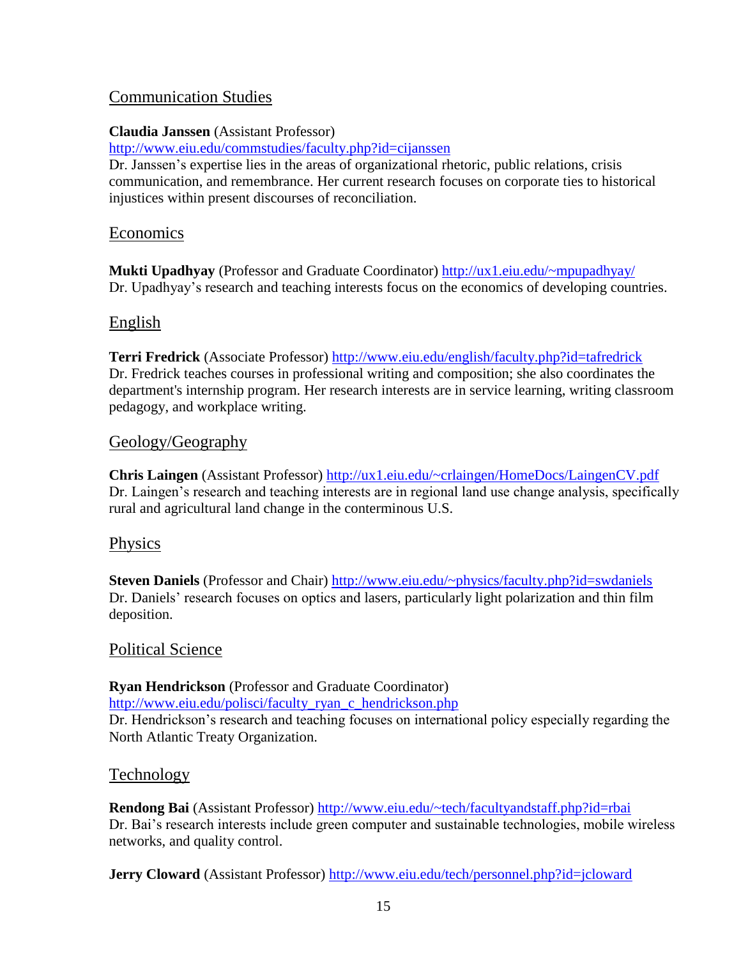# Communication Studies

# **Claudia Janssen** (Assistant Professor)

<http://www.eiu.edu/commstudies/faculty.php?id=cijanssen>

Dr. Janssen's expertise lies in the areas of organizational rhetoric, public relations, crisis communication, and remembrance. Her current research focuses on corporate ties to historical injustices within present discourses of reconciliation.

# Economics

**Mukti Upadhyay** (Professor and Graduate Coordinator)<http://ux1.eiu.edu/~mpupadhyay/> Dr. Upadhyay's research and teaching interests focus on the economics of developing countries.

# English

**Terri Fredrick** (Associate Professor)<http://www.eiu.edu/english/faculty.php?id=tafredrick> Dr. Fredrick teaches courses in professional writing and composition; she also coordinates the department's internship program. Her research interests are in service learning, writing classroom pedagogy, and workplace writing.

# Geology/Geography

**Chris Laingen** (Assistant Professor)<http://ux1.eiu.edu/~crlaingen/HomeDocs/LaingenCV.pdf> Dr. Laingen's research and teaching interests are in regional land use change analysis, specifically rural and agricultural land change in the conterminous U.S.

# Physics

**Steven Daniels** (Professor and Chair)<http://www.eiu.edu/~physics/faculty.php?id=swdaniels> Dr. Daniels' research focuses on optics and lasers, particularly light polarization and thin film deposition.

# Political Science

**Ryan Hendrickson** (Professor and Graduate Coordinator)

[http://www.eiu.edu/polisci/faculty\\_ryan\\_c\\_hendrickson.php](http://www.eiu.edu/polisci/faculty_ryan_c_hendrickson.php) Dr. Hendrickson's research and teaching focuses on international policy especially regarding the North Atlantic Treaty Organization.

# Technology

**Rendong Bai** (Assistant Professor)<http://www.eiu.edu/~tech/facultyandstaff.php?id=rbai> Dr. Bai's research interests include green computer and sustainable technologies, mobile wireless networks, and quality control.

**Jerry Cloward** (Assistant Professor)<http://www.eiu.edu/tech/personnel.php?id=jcloward>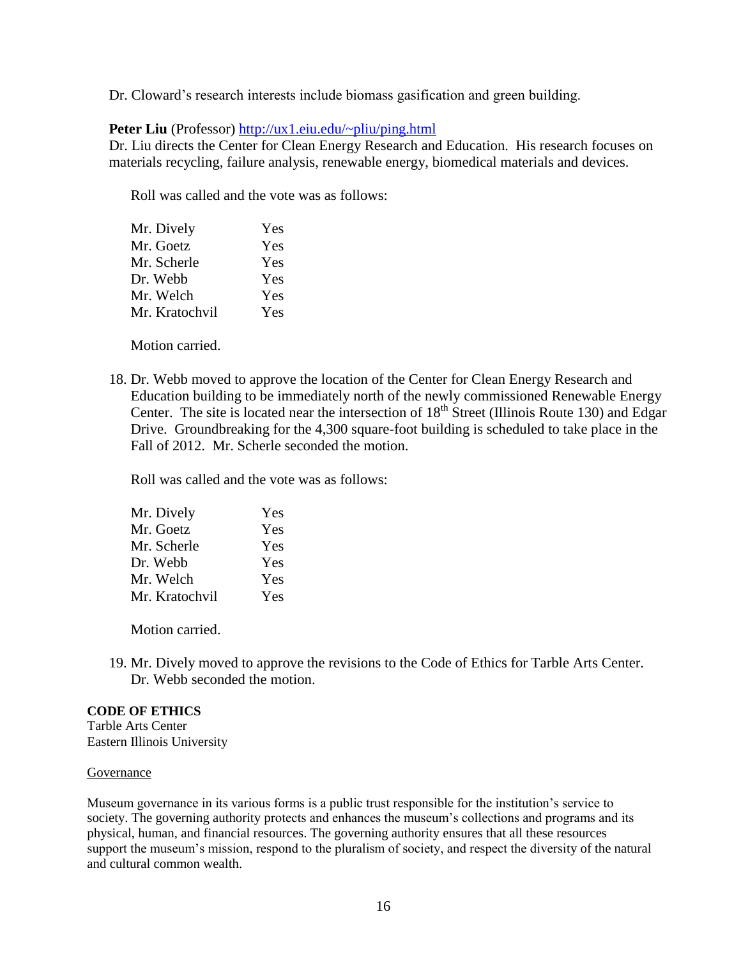Dr. Cloward's research interests include biomass gasification and green building.

#### **Peter Liu** (Professor)<http://ux1.eiu.edu/~pliu/ping.html>

Dr. Liu directs the Center for Clean Energy Research and Education. His research focuses on materials recycling, failure analysis, renewable energy, biomedical materials and devices.

Roll was called and the vote was as follows:

| Yes |
|-----|
| Yes |
| Yes |
| Yes |
| Yes |
| Yes |
|     |

Motion carried.

18. Dr. Webb moved to approve the location of the Center for Clean Energy Research and Education building to be immediately north of the newly commissioned Renewable Energy Center. The site is located near the intersection of  $18<sup>th</sup>$  Street (Illinois Route 130) and Edgar Drive. Groundbreaking for the 4,300 square-foot building is scheduled to take place in the Fall of 2012. Mr. Scherle seconded the motion.

Roll was called and the vote was as follows:

| Mr. Dively     | Yes |
|----------------|-----|
| Mr. Goetz      | Yes |
| Mr. Scherle    | Yes |
| Dr. Webb       | Yes |
| Mr. Welch      | Yes |
| Mr. Kratochvil | Yes |

Motion carried.

19. Mr. Dively moved to approve the revisions to the Code of Ethics for Tarble Arts Center. Dr. Webb seconded the motion.

#### **CODE OF ETHICS**

Tarble Arts Center Eastern Illinois University

#### **Governance**

Museum governance in its various forms is a public trust responsible for the institution's service to society. The governing authority protects and enhances the museum's collections and programs and its physical, human, and financial resources. The governing authority ensures that all these resources support the museum's mission, respond to the pluralism of society, and respect the diversity of the natural and cultural common wealth.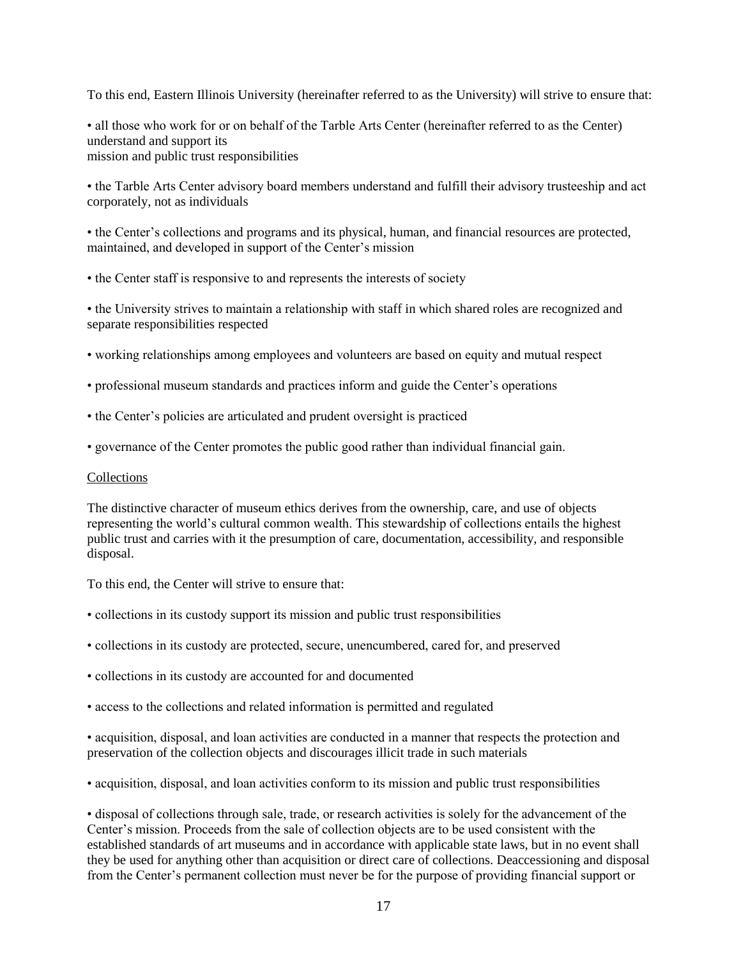To this end, Eastern Illinois University (hereinafter referred to as the University) will strive to ensure that:

• all those who work for or on behalf of the Tarble Arts Center (hereinafter referred to as the Center) understand and support its mission and public trust responsibilities

• the Tarble Arts Center advisory board members understand and fulfill their advisory trusteeship and act corporately, not as individuals

• the Center's collections and programs and its physical, human, and financial resources are protected, maintained, and developed in support of the Center's mission

• the Center staff is responsive to and represents the interests of society

• the University strives to maintain a relationship with staff in which shared roles are recognized and separate responsibilities respected

- working relationships among employees and volunteers are based on equity and mutual respect
- professional museum standards and practices inform and guide the Center's operations
- the Center's policies are articulated and prudent oversight is practiced
- governance of the Center promotes the public good rather than individual financial gain.

#### Collections

The distinctive character of museum ethics derives from the ownership, care, and use of objects representing the world's cultural common wealth. This stewardship of collections entails the highest public trust and carries with it the presumption of care, documentation, accessibility, and responsible disposal.

To this end, the Center will strive to ensure that:

- collections in its custody support its mission and public trust responsibilities
- collections in its custody are protected, secure, unencumbered, cared for, and preserved
- collections in its custody are accounted for and documented
- access to the collections and related information is permitted and regulated

• acquisition, disposal, and loan activities are conducted in a manner that respects the protection and preservation of the collection objects and discourages illicit trade in such materials

• acquisition, disposal, and loan activities conform to its mission and public trust responsibilities

• disposal of collections through sale, trade, or research activities is solely for the advancement of the Center's mission. Proceeds from the sale of collection objects are to be used consistent with the established standards of art museums and in accordance with applicable state laws, but in no event shall they be used for anything other than acquisition or direct care of collections. Deaccessioning and disposal from the Center's permanent collection must never be for the purpose of providing financial support or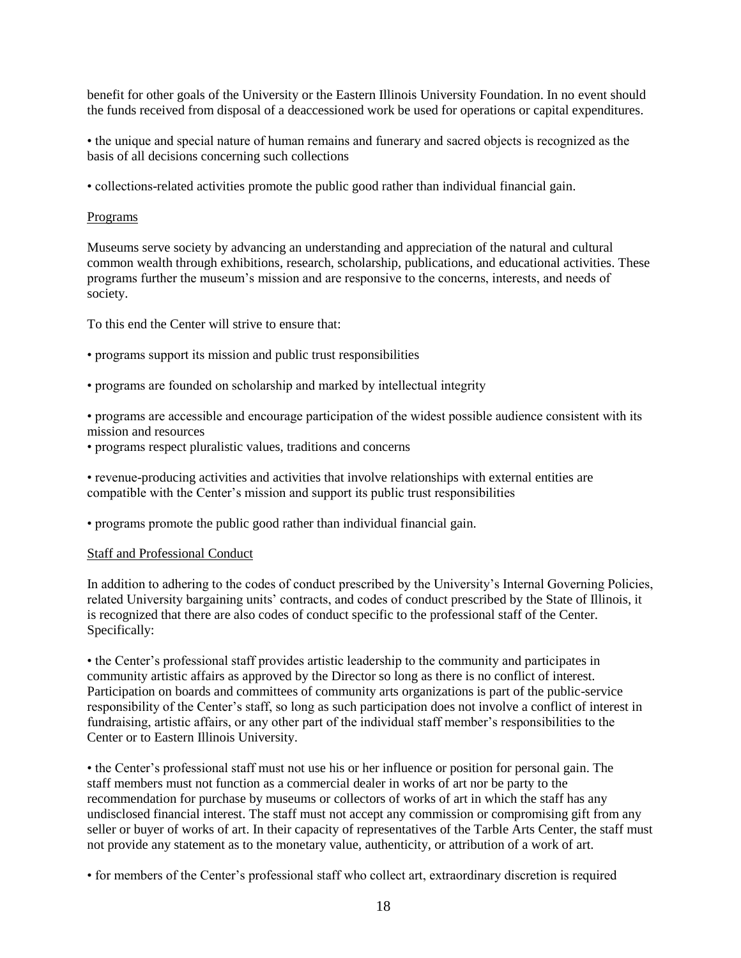benefit for other goals of the University or the Eastern Illinois University Foundation. In no event should the funds received from disposal of a deaccessioned work be used for operations or capital expenditures.

• the unique and special nature of human remains and funerary and sacred objects is recognized as the basis of all decisions concerning such collections

• collections-related activities promote the public good rather than individual financial gain.

#### Programs

Museums serve society by advancing an understanding and appreciation of the natural and cultural common wealth through exhibitions, research, scholarship, publications, and educational activities. These programs further the museum's mission and are responsive to the concerns, interests, and needs of society.

To this end the Center will strive to ensure that:

- programs support its mission and public trust responsibilities
- programs are founded on scholarship and marked by intellectual integrity
- programs are accessible and encourage participation of the widest possible audience consistent with its mission and resources
- programs respect pluralistic values, traditions and concerns

• revenue-producing activities and activities that involve relationships with external entities are compatible with the Center's mission and support its public trust responsibilities

• programs promote the public good rather than individual financial gain.

#### Staff and Professional Conduct

In addition to adhering to the codes of conduct prescribed by the University's Internal Governing Policies, related University bargaining units' contracts, and codes of conduct prescribed by the State of Illinois, it is recognized that there are also codes of conduct specific to the professional staff of the Center. Specifically:

• the Center's professional staff provides artistic leadership to the community and participates in community artistic affairs as approved by the Director so long as there is no conflict of interest. Participation on boards and committees of community arts organizations is part of the public-service responsibility of the Center's staff, so long as such participation does not involve a conflict of interest in fundraising, artistic affairs, or any other part of the individual staff member's responsibilities to the Center or to Eastern Illinois University.

• the Center's professional staff must not use his or her influence or position for personal gain. The staff members must not function as a commercial dealer in works of art nor be party to the recommendation for purchase by museums or collectors of works of art in which the staff has any undisclosed financial interest. The staff must not accept any commission or compromising gift from any seller or buyer of works of art. In their capacity of representatives of the Tarble Arts Center, the staff must not provide any statement as to the monetary value, authenticity, or attribution of a work of art.

• for members of the Center's professional staff who collect art, extraordinary discretion is required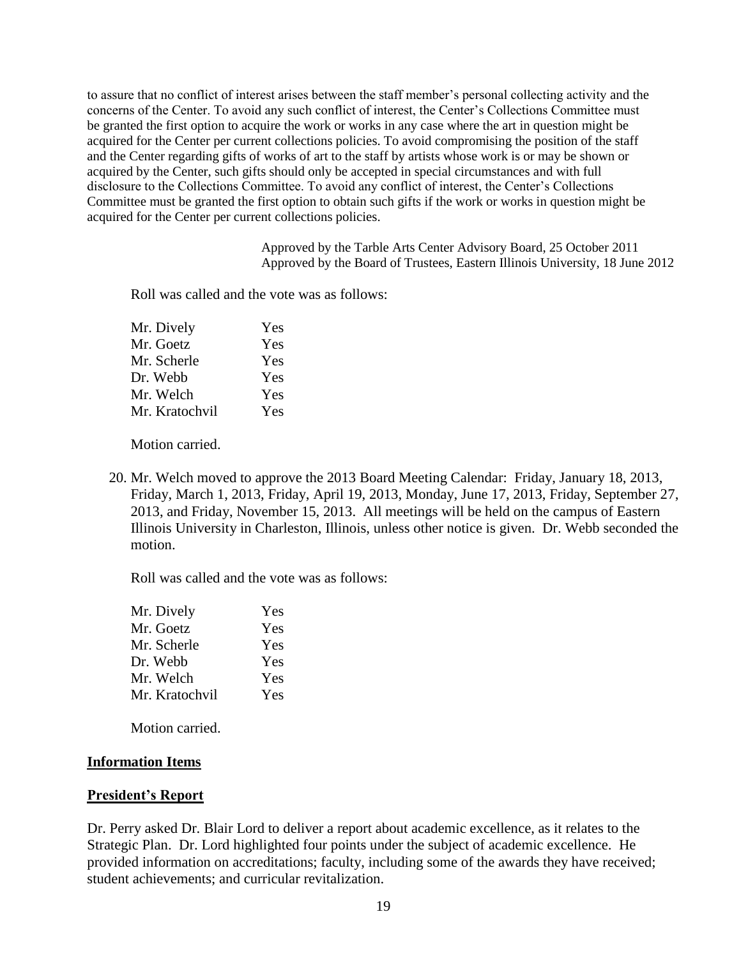to assure that no conflict of interest arises between the staff member's personal collecting activity and the concerns of the Center. To avoid any such conflict of interest, the Center's Collections Committee must be granted the first option to acquire the work or works in any case where the art in question might be acquired for the Center per current collections policies. To avoid compromising the position of the staff and the Center regarding gifts of works of art to the staff by artists whose work is or may be shown or acquired by the Center, such gifts should only be accepted in special circumstances and with full disclosure to the Collections Committee. To avoid any conflict of interest, the Center's Collections Committee must be granted the first option to obtain such gifts if the work or works in question might be acquired for the Center per current collections policies.

> Approved by the Tarble Arts Center Advisory Board, 25 October 2011 Approved by the Board of Trustees, Eastern Illinois University, 18 June 2012

Roll was called and the vote was as follows:

| Mr. Dively     | Yes |
|----------------|-----|
| Mr. Goetz      | Yes |
| Mr. Scherle    | Yes |
| Dr. Webb       | Yes |
| Mr. Welch      | Yes |
| Mr. Kratochvil | Yes |

Motion carried.

20. Mr. Welch moved to approve the 2013 Board Meeting Calendar: Friday, January 18, 2013, Friday, March 1, 2013, Friday, April 19, 2013, Monday, June 17, 2013, Friday, September 27, 2013, and Friday, November 15, 2013. All meetings will be held on the campus of Eastern Illinois University in Charleston, Illinois, unless other notice is given. Dr. Webb seconded the motion.

Roll was called and the vote was as follows:

| Yes |
|-----|
| Yes |
| Yes |
| Yes |
| Yes |
| Yes |
|     |

Motion carried.

### **Information Items**

### **President's Report**

Dr. Perry asked Dr. Blair Lord to deliver a report about academic excellence, as it relates to the Strategic Plan. Dr. Lord highlighted four points under the subject of academic excellence. He provided information on accreditations; faculty, including some of the awards they have received; student achievements; and curricular revitalization.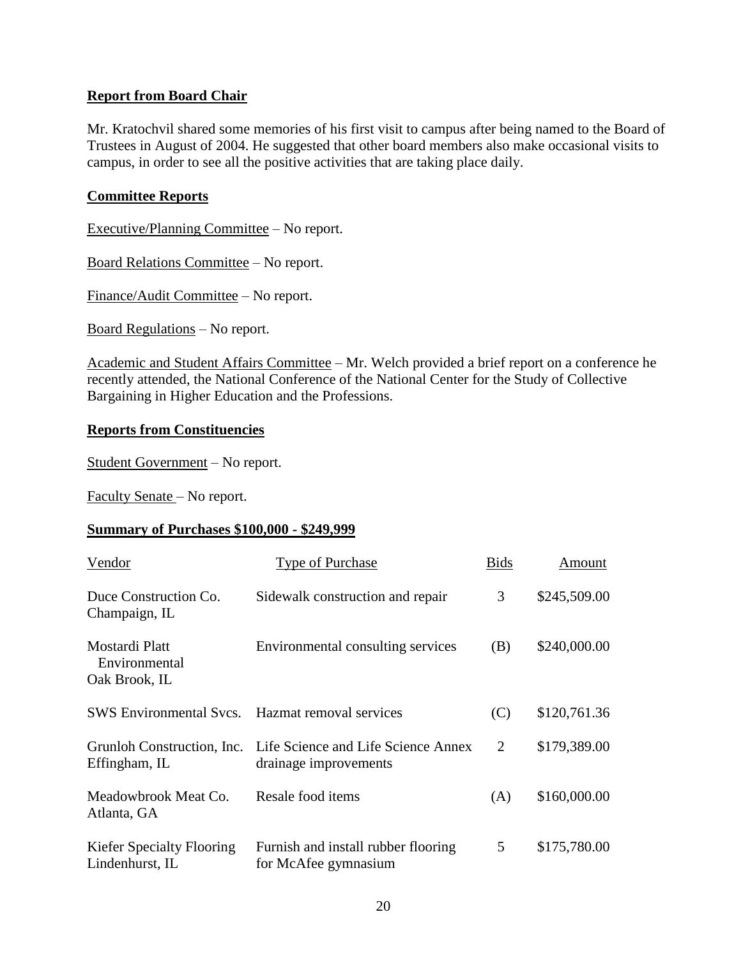### **Report from Board Chair**

Mr. Kratochvil shared some memories of his first visit to campus after being named to the Board of Trustees in August of 2004. He suggested that other board members also make occasional visits to campus, in order to see all the positive activities that are taking place daily.

### **Committee Reports**

Executive/Planning Committee – No report.

Board Relations Committee – No report.

Finance/Audit Committee – No report.

Board Regulations – No report.

Academic and Student Affairs Committee – Mr. Welch provided a brief report on a conference he recently attended, the National Conference of the National Center for the Study of Collective Bargaining in Higher Education and the Professions.

### **Reports from Constituencies**

Student Government – No report.

Faculty Senate – No report.

### **Summary of Purchases \$100,000 - \$249,999**

| Vendor                                              | Type of Purchase                                             | <b>Bids</b> | Amount       |
|-----------------------------------------------------|--------------------------------------------------------------|-------------|--------------|
| Duce Construction Co.<br>Champaign, IL              | Sidewalk construction and repair                             | 3           | \$245,509.00 |
| Mostardi Platt<br>Environmental<br>Oak Brook, IL    | Environmental consulting services                            | (B)         | \$240,000.00 |
| <b>SWS Environmental Svcs.</b>                      | Hazmat removal services                                      | (C)         | \$120,761.36 |
| Grunloh Construction, Inc.<br>Effingham, IL         | Life Science and Life Science Annex<br>drainage improvements | 2           | \$179,389.00 |
| Meadowbrook Meat Co.<br>Atlanta, GA                 | Resale food items                                            | (A)         | \$160,000.00 |
| <b>Kiefer Specialty Flooring</b><br>Lindenhurst, IL | Furnish and install rubber flooring<br>for McAfee gymnasium  | 5           | \$175,780.00 |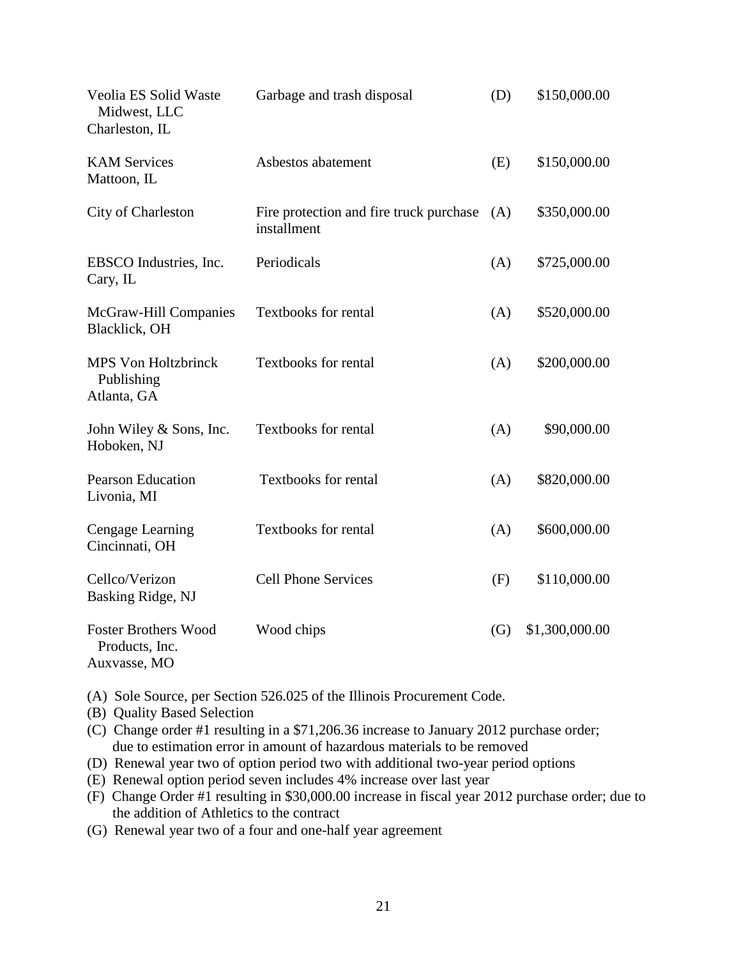| Veolia ES Solid Waste<br>Midwest, LLC<br>Charleston, IL       | Garbage and trash disposal                             | (D) | \$150,000.00   |
|---------------------------------------------------------------|--------------------------------------------------------|-----|----------------|
| <b>KAM Services</b><br>Mattoon, IL                            | Asbestos abatement                                     | (E) | \$150,000.00   |
| City of Charleston                                            | Fire protection and fire truck purchase<br>installment | (A) | \$350,000.00   |
| EBSCO Industries, Inc.<br>Cary, IL                            | Periodicals                                            | (A) | \$725,000.00   |
| McGraw-Hill Companies<br>Blacklick, OH                        | <b>Textbooks for rental</b>                            | (A) | \$520,000.00   |
| <b>MPS Von Holtzbrinck</b><br>Publishing<br>Atlanta, GA       | <b>Textbooks for rental</b>                            | (A) | \$200,000.00   |
| John Wiley & Sons, Inc.<br>Hoboken, NJ                        | <b>Textbooks for rental</b>                            | (A) | \$90,000.00    |
| <b>Pearson Education</b><br>Livonia, MI                       | <b>Textbooks for rental</b>                            | (A) | \$820,000.00   |
| Cengage Learning<br>Cincinnati, OH                            | Textbooks for rental                                   | (A) | \$600,000.00   |
| Cellco/Verizon<br>Basking Ridge, NJ                           | <b>Cell Phone Services</b>                             | (F) | \$110,000.00   |
| <b>Foster Brothers Wood</b><br>Products, Inc.<br>Auxvasse, MO | Wood chips                                             | (G) | \$1,300,000.00 |

(A) Sole Source, per Section 526.025 of the Illinois Procurement Code.

(B) Quality Based Selection

(C) Change order #1 resulting in a \$71,206.36 increase to January 2012 purchase order; due to estimation error in amount of hazardous materials to be removed

- (D) Renewal year two of option period two with additional two-year period options
- (E) Renewal option period seven includes 4% increase over last year
- (F) Change Order #1 resulting in \$30,000.00 increase in fiscal year 2012 purchase order; due to the addition of Athletics to the contract
- (G) Renewal year two of a four and one-half year agreement